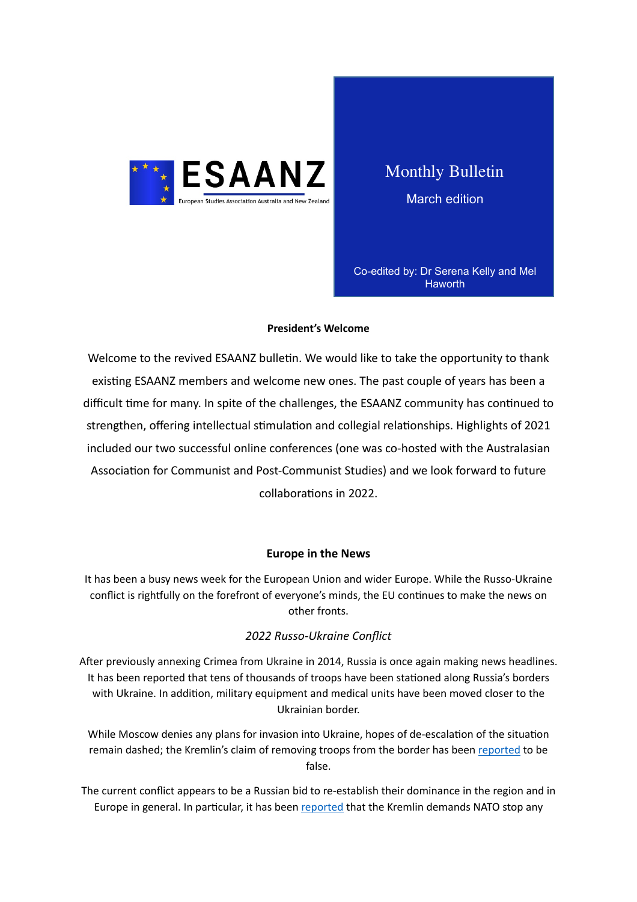

Monthly Bulletin March edition

Co-edited by: Dr Serena Kelly and Mel **Haworth** 

#### **President's Welcome**

Welcome to the revived ESAANZ bulletin. We would like to take the opportunity to thank existing ESAANZ members and welcome new ones. The past couple of years has been a difficult time for many. In spite of the challenges, the ESAANZ community has continued to strengthen, offering intellectual stimulation and collegial relationships. Highlights of 2021 included our two successful online conferences (one was co-hosted with the Australasian Association for Communist and Post-Communist Studies) and we look forward to future collaborations in 2022.

### **Europe in the News**

It has been a busy news week for the European Union and wider Europe. While the Russo-Ukraine conflict is rightfully on the forefront of everyone's minds, the EU continues to make the news on other fronts.

### *2022 Russo-Ukraine Conflict*

After previously annexing Crimea from Ukraine in 2014, Russia is once again making news headlines. It has been reported that tens of thousands of troops have been stationed along Russia's borders with Ukraine. In addition, military equipment and medical units have been moved closer to the Ukrainian border.

While Moscow denies any plans for invasion into Ukraine, hopes of de-escalation of the situation remain dashed; the Kremlin's claim of removing troops from the border has been [reported](https://www.bbc.com/news/world-europe-60407010) to be false.

The current conflict appears to be a Russian bid to re-establish their dominance in the region and in Europe in general. In particular, it has been reported that the Kremlin demands NATO stop any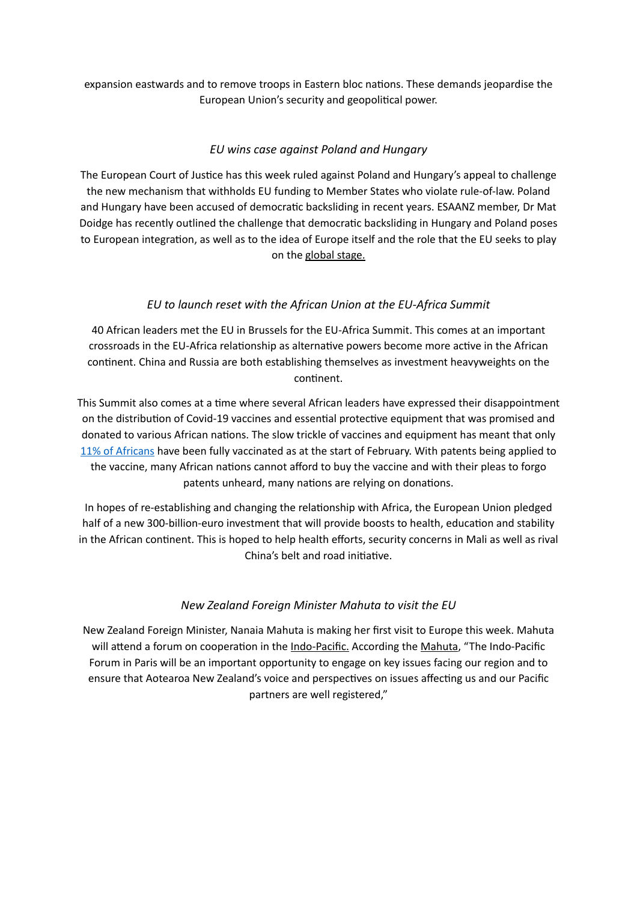expansion eastwards and to remove troops in Eastern bloc nations. These demands jeopardise the European Union's security and geopolitical power.

## *EU wins case against Poland and Hungary*

The European Court of Justice has this week ruled against Poland and Hungary's appeal to challenge the new mechanism that withholds EU funding to Member States who violate rule-of-law. Poland and Hungary have been accused of democratic backsliding in recent years. ESAANZ member, Dr Mat Doidge has recently outlined the challenge that democratic backsliding in Hungary and Poland poses to European integration, as well as to the idea of Europe itself and the role that the EU seeks to play on the global stage.

## *EU to launch reset with the African Union at the EU-Africa Summit*

40 African leaders met the EU in Brussels for the EU-Africa Summit. This comes at an important crossroads in the EU-Africa relationship as alternative powers become more active in the African continent. China and Russia are both establishing themselves as investment heavyweights on the continent.

This Summit also comes at a time where several African leaders have expressed their disappointment on the distribution of Covid-19 vaccines and essential protective equipment that was promised and donated to various African nations. The slow trickle of vaccines and equipment has meant that only 11% of Africans have been fully vaccinated as at the start of February. With patents being applied to the vaccine, many African nations cannot afford to buy the vaccine and with their pleas to forgo patents unheard, many nations are relying on donations.

In hopes of re-establishing and changing the relationship with Africa, the European Union pledged half of a new 300-billion-euro investment that will provide boosts to health, education and stability in the African continent. This is hoped to help health efforts, security concerns in Mali as well as rival China's belt and road initiative.

# *New Zealand Foreign Minister Mahuta to visit the EU*

New Zealand Foreign Minister, Nanaia Mahuta is making her first visit to Europe this week. Mahuta will attend a forum on cooperation in the *Indo-Pacific*. According the [Mahuta,](https://www.beehive.govt.nz/release/foreign-affairs-minister-nanaia-mahuta-visit-europe-key-regional-and-un-engagements) "The Indo-Pacific Forum in Paris will be an important opportunity to engage on key issues facing our region and to ensure that Aotearoa New Zealand's voice and perspectives on issues affecting us and our Pacific partners are well registered,"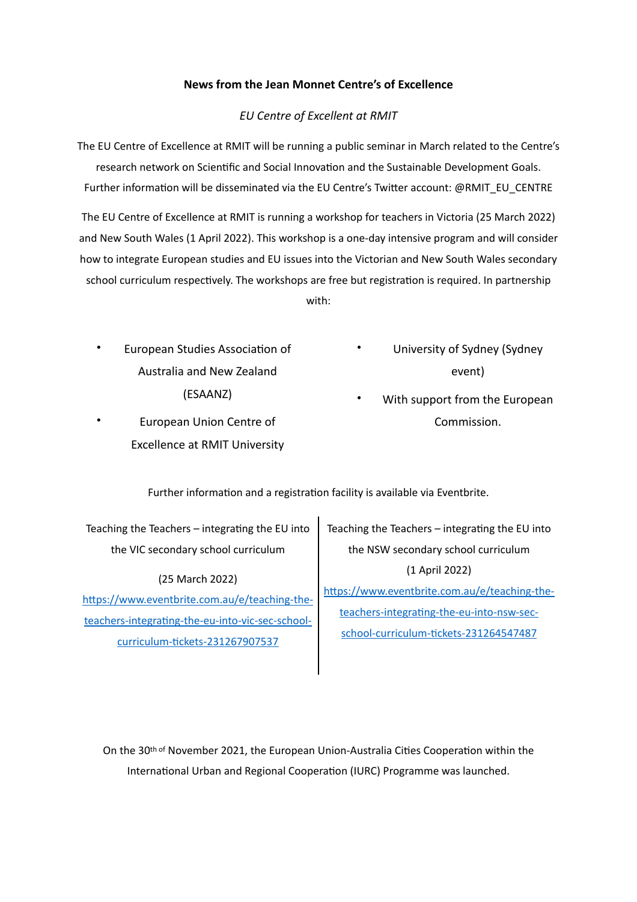### **News from the Jean Monnet Centre's of Excellence**

### *EU Centre of Excellent at RMIT*

The EU Centre of Excellence at RMIT will be running a public seminar in March related to the Centre's research network on Scientific and Social Innovation and the Sustainable Development Goals. Further information will be disseminated via the EU Centre's Twitter account: @RMIT\_EU\_CENTRE

The EU Centre of Excellence at RMIT is running a workshop for teachers in Victoria (25 March 2022) and New South Wales (1 April 2022). This workshop is a one-day intensive program and will consider how to integrate European studies and EU issues into the Victorian and New South Wales secondary school curriculum respectively. The workshops are free but registration is required. In partnership

with:

- European Studies Association of Australia and New Zealand (ESAANZ)
- European Union Centre of Excellence at RMIT University
- University of Sydney (Sydney event)
- With support from the European Commission.

Further information and a registration facility is available via Eventbrite.

Teaching the Teachers  $-$  integrating the EU into the VIC secondary school curriculum

(25 March 2022) [https://www.eventbrite.com.au/e/teaching-the](https://www.eventbrite.com.au/e/teaching-the-teachers-integrating-the-eu-into-vic-sec-school-curriculum-tickets-231267907537)teachers-integrating-the-eu-into-vic-sec-schoolcurriculum-tickets-231267907537

Teaching the Teachers  $-$  integrating the EU into the NSW secondary school curriculum (1 April 2022) [https://www.eventbrite.com.au/e/teaching-the](https://www.eventbrite.com.au/e/teaching-the-teachers-integrating-the-eu-into-nsw-sec-school-curriculum-tickets-231264547487)teachers-integrating-the-eu-into-nsw-sec-

school-curriculum-tickets-231264547487

On the  $30th$  of November 2021, the European Union-Australia Cities Cooperation within the International Urban and Regional Cooperation (IURC) Programme was launched.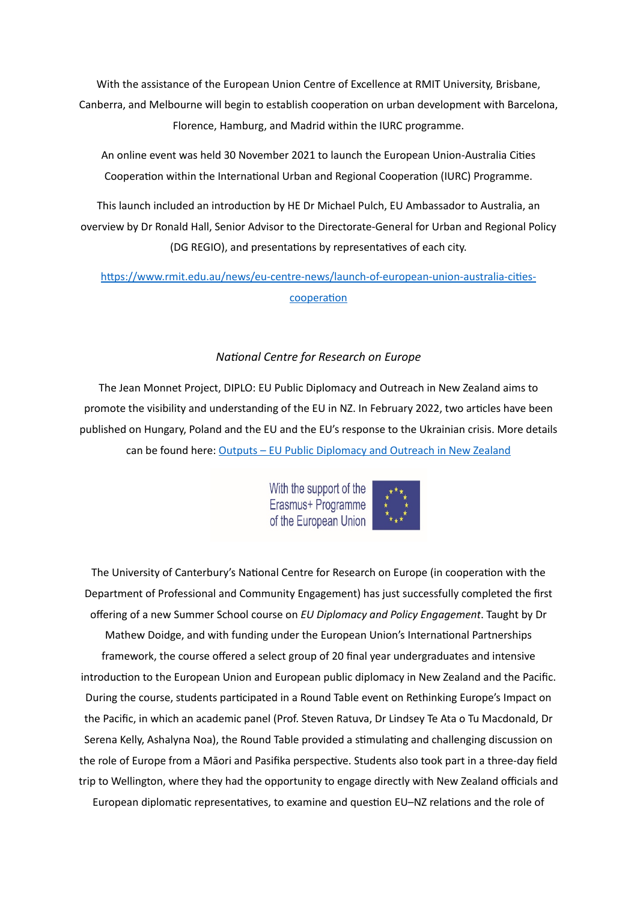With the assistance of the European Union Centre of Excellence at RMIT University, Brisbane, Canberra, and Melbourne will begin to establish cooperation on urban development with Barcelona, Florence, Hamburg, and Madrid within the IURC programme.

An online event was held 30 November 2021 to launch the European Union-Australia Cities Cooperation within the International Urban and Regional Cooperation (IURC) Programme.

This launch included an introduction by HE Dr Michael Pulch, EU Ambassador to Australia, an overview by Dr Ronald Hall, Senior Advisor to the Directorate-General for Urban and Regional Policy (DG REGIO), and presentations by representatives of each city.

[https://www.rmit.edu.au/news/eu-centre-news/launch-of-european-union-australia-cities](https://www.rmit.edu.au/news/eu-centre-news/launch-of-european-union-australia-cities-cooperation)[cooperation](https://www.rmit.edu.au/news/eu-centre-news/launch-of-european-union-australia-cities-cooperation)

### *National Centre for Research on Europe*

The Jean Monnet Project, DIPLO: EU Public Diplomacy and Outreach in New Zealand aims to promote the visibility and understanding of the EU in NZ. In February 2022, two articles have been published on Hungary, Poland and the EU and the EU's response to the Ukrainian crisis. More details can be found here: Outputs - EU Public Diplomacy and Outreach in New Zealand

> With the support of the Erasmus+ Programme of the European Union



The University of Canterbury's National Centre for Research on Europe (in cooperation with the Department of Professional and Community Engagement) has just successfully completed the first offering of a new Summer School course on *EU Diplomacy and Policy Engagement*. Taught by Dr Mathew Doidge, and with funding under the European Union's International Partnerships framework, the course offered a select group of 20 final year undergraduates and intensive introduction to the European Union and European public diplomacy in New Zealand and the Pacific. During the course, students participated in a Round Table event on Rethinking Europe's Impact on the Pacific, in which an academic panel (Prof. Steven Ratuva, Dr Lindsey Te Ata o Tu Macdonald, Dr Serena Kelly, Ashalyna Noa), the Round Table provided a stimulating and challenging discussion on the role of Europe from a Māori and Pasifika perspective. Students also took part in a three-day field trip to Wellington, where they had the opportunity to engage directly with New Zealand officials and European diplomatic representatives, to examine and question EU–NZ relations and the role of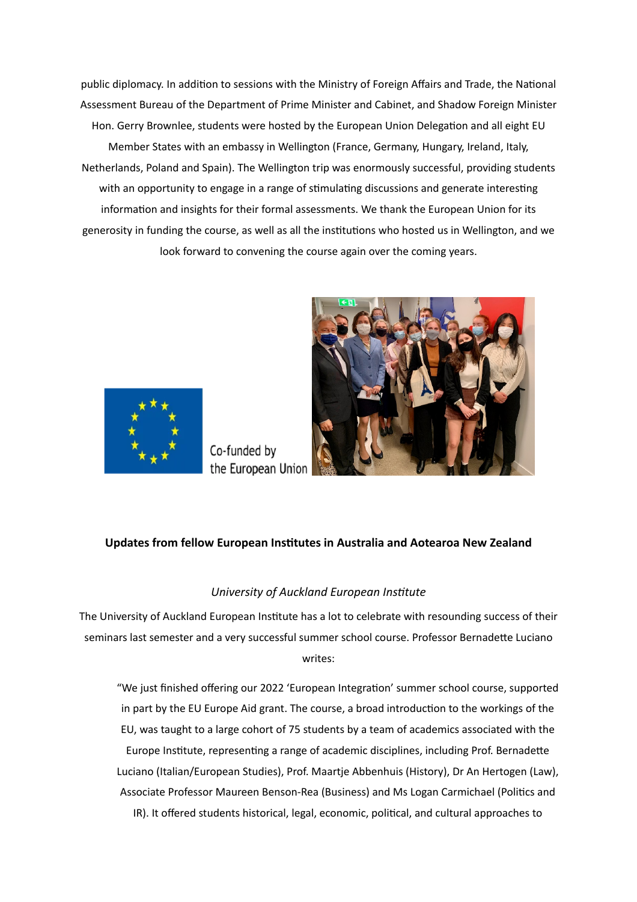public diplomacy. In addition to sessions with the Ministry of Foreign Affairs and Trade, the National Assessment Bureau of the Department of Prime Minister and Cabinet, and Shadow Foreign Minister Hon. Gerry Brownlee, students were hosted by the European Union Delegation and all eight EU Member States with an embassy in Wellington (France, Germany, Hungary, Ireland, Italy, Netherlands, Poland and Spain). The Wellington trip was enormously successful, providing students with an opportunity to engage in a range of stimulating discussions and generate interesting information and insights for their formal assessments. We thank the European Union for its generosity in funding the course, as well as all the institutions who hosted us in Wellington, and we look forward to convening the course again over the coming years.



Co-funded by the European Union



## **Updates from fellow European Institutes in Australia and Aotearoa New Zealand**

### *University of Auckland European Institute*

The University of Auckland European Institute has a lot to celebrate with resounding success of their seminars last semester and a very successful summer school course. Professor Bernadette Luciano writes: 

"We just finished offering our 2022 'European Integration' summer school course, supported in part by the EU Europe Aid grant. The course, a broad introduction to the workings of the EU, was taught to a large cohort of 75 students by a team of academics associated with the Europe Institute, representing a range of academic disciplines, including Prof. Bernadette Luciano (Italian/European Studies), Prof. Maartje Abbenhuis (History), Dr An Hertogen (Law), Associate Professor Maureen Benson-Rea (Business) and Ms Logan Carmichael (Politics and IR). It offered students historical, legal, economic, political, and cultural approaches to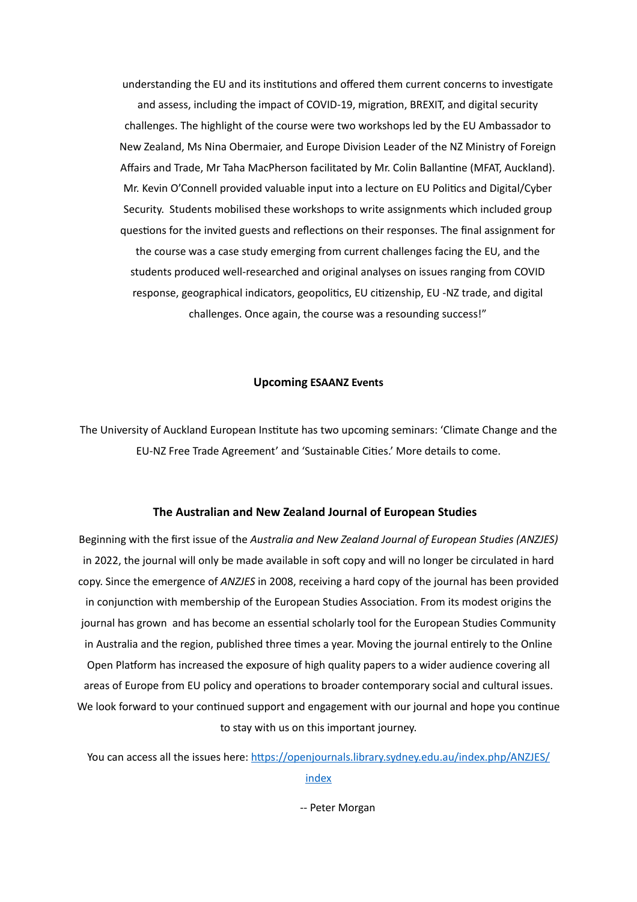understanding the EU and its institutions and offered them current concerns to investigate and assess, including the impact of COVID-19, migration, BREXIT, and digital security challenges. The highlight of the course were two workshops led by the EU Ambassador to New Zealand, Ms Nina Obermaier, and Europe Division Leader of the NZ Ministry of Foreign Affairs and Trade, Mr Taha MacPherson facilitated by Mr. Colin Ballantine (MFAT, Auckland). Mr. Kevin O'Connell provided valuable input into a lecture on EU Politics and Digital/Cyber Security. Students mobilised these workshops to write assignments which included group questions for the invited guests and reflections on their responses. The final assignment for

the course was a case study emerging from current challenges facing the EU, and the students produced well-researched and original analyses on issues ranging from COVID response, geographical indicators, geopolitics, EU citizenship, EU -NZ trade, and digital challenges. Once again, the course was a resounding success!"

#### **Upcoming ESAANZ Events**

The University of Auckland European Institute has two upcoming seminars: 'Climate Change and the EU-NZ Free Trade Agreement' and 'Sustainable Cities.' More details to come.

#### **The [Australian and New Zealand Journal of European Studies](http://www.eucnetwork.org.nz/12)**

Beginning with the first issue of the Australia and New Zealand Journal of European Studies (ANZJES) in 2022, the journal will only be made available in soft copy and will no longer be circulated in hard copy. Since the emergence of *ANZJES* in 2008, receiving a hard copy of the journal has been provided in conjunction with membership of the European Studies Association. From its modest origins the journal has grown and has become an essential scholarly tool for the European Studies Community in Australia and the region, published three times a year. Moving the journal entirely to the Online Open Platform has increased the exposure of high quality papers to a wider audience covering all areas of Europe from EU policy and operations to broader contemporary social and cultural issues. We look forward to your continued support and engagement with our journal and hope you continue to stay with us on this important journey.

You can access all the issues here: [https://openjournals.library.sydney.edu.au/index.php/ANZJES/](https://openjournals.library.sydney.edu.au/index.php/ANZJES/index) [index](https://openjournals.library.sydney.edu.au/index.php/ANZJES/index)

-- Peter Morgan